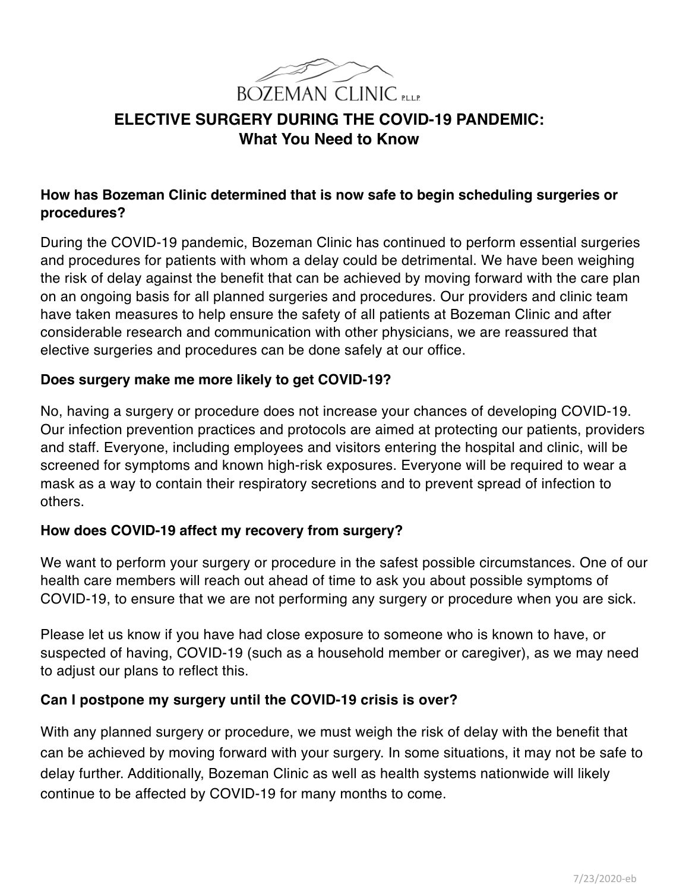

# **ELECTIVE SURGERY DURING THE COVID-19 PANDEMIC: What You Need to Know**

## **How has Bozeman Clinic determined that is now safe to begin scheduling surgeries or procedures?**

During the COVID-19 pandemic, Bozeman Clinic has continued to perform essential surgeries and procedures for patients with whom a delay could be detrimental. We have been weighing the risk of delay against the benefit that can be achieved by moving forward with the care plan on an ongoing basis for all planned surgeries and procedures. Our providers and clinic team have taken measures to help ensure the safety of all patients at Bozeman Clinic and after considerable research and communication with other physicians, we are reassured that elective surgeries and procedures can be done safely at our office.

### **Does surgery make me more likely to get COVID-19?**

No, having a surgery or procedure does not increase your chances of developing COVID-19. Our infection prevention practices and protocols are aimed at protecting our patients, providers and staff. Everyone, including employees and visitors entering the hospital and clinic, will be screened for symptoms and known high-risk exposures. Everyone will be required to wear a mask as a way to contain their respiratory secretions and to prevent spread of infection to others.

### **How does COVID-19 affect my recovery from surgery?**

We want to perform your surgery or procedure in the safest possible circumstances. One of our health care members will reach out ahead of time to ask you about possible symptoms of COVID-19, to ensure that we are not performing any surgery or procedure when you are sick.

Please let us know if you have had close exposure to someone who is known to have, or suspected of having, COVID-19 (such as a household member or caregiver), as we may need to adjust our plans to reflect this.

### **Can I postpone my surgery until the COVID-19 crisis is over?**

With any planned surgery or procedure, we must weigh the risk of delay with the benefit that can be achieved by moving forward with your surgery. In some situations, it may not be safe to delay further. Additionally, Bozeman Clinic as well as health systems nationwide will likely continue to be affected by COVID-19 for many months to come.